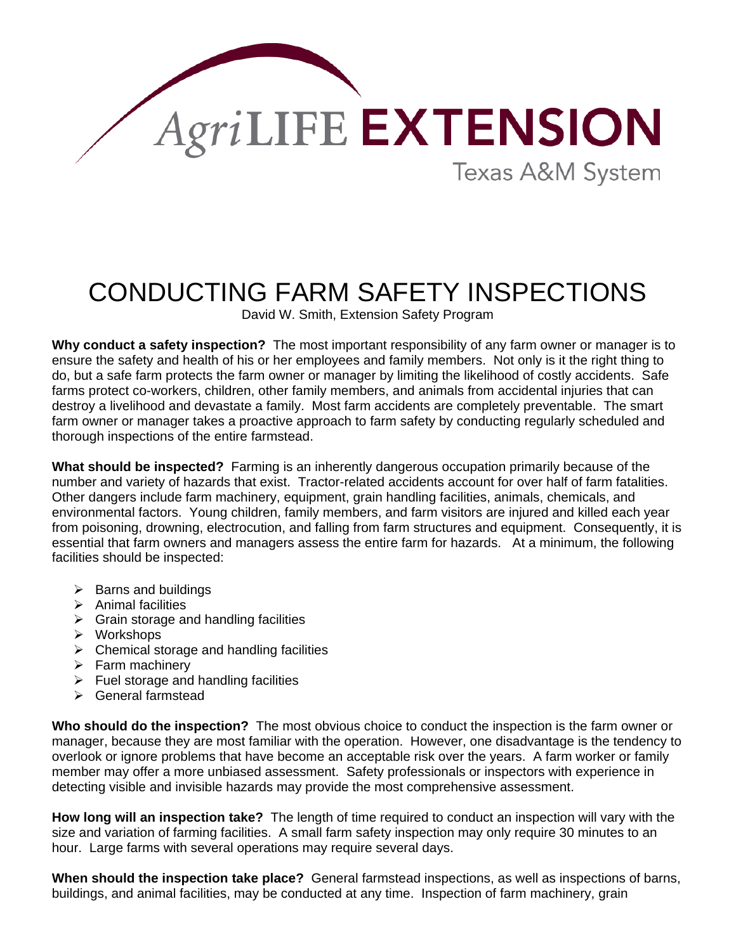

## CONDUCTING FARM SAFETY INSPECTIONS

David W. Smith, Extension Safety Program

**Why conduct a safety inspection?** The most important responsibility of any farm owner or manager is to ensure the safety and health of his or her employees and family members. Not only is it the right thing to do, but a safe farm protects the farm owner or manager by limiting the likelihood of costly accidents. Safe farms protect co-workers, children, other family members, and animals from accidental injuries that can destroy a livelihood and devastate a family. Most farm accidents are completely preventable. The smart farm owner or manager takes a proactive approach to farm safety by conducting regularly scheduled and thorough inspections of the entire farmstead.

**What should be inspected?** Farming is an inherently dangerous occupation primarily because of the number and variety of hazards that exist. Tractor-related accidents account for over half of farm fatalities. Other dangers include farm machinery, equipment, grain handling facilities, animals, chemicals, and environmental factors. Young children, family members, and farm visitors are injured and killed each year from poisoning, drowning, electrocution, and falling from farm structures and equipment. Consequently, it is essential that farm owners and managers assess the entire farm for hazards. At a minimum, the following facilities should be inspected:

- $\triangleright$  Barns and buildings
- $\triangleright$  Animal facilities
- $\triangleright$  Grain storage and handling facilities
- ¾ Workshops
- $\triangleright$  Chemical storage and handling facilities
- $\triangleright$  Farm machinery
- $\triangleright$  Fuel storage and handling facilities
- $\triangleright$  General farmstead

**Who should do the inspection?** The most obvious choice to conduct the inspection is the farm owner or manager, because they are most familiar with the operation. However, one disadvantage is the tendency to overlook or ignore problems that have become an acceptable risk over the years. A farm worker or family member may offer a more unbiased assessment. Safety professionals or inspectors with experience in detecting visible and invisible hazards may provide the most comprehensive assessment.

**How long will an inspection take?** The length of time required to conduct an inspection will vary with the size and variation of farming facilities. A small farm safety inspection may only require 30 minutes to an hour. Large farms with several operations may require several days.

**When should the inspection take place?** General farmstead inspections, as well as inspections of barns, buildings, and animal facilities, may be conducted at any time. Inspection of farm machinery, grain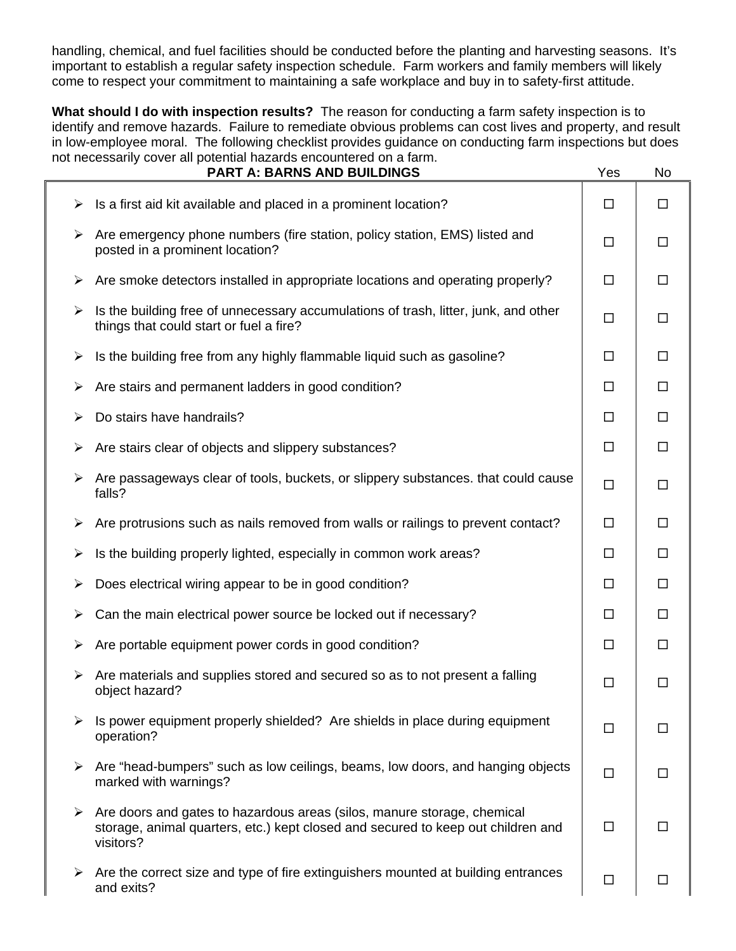handling, chemical, and fuel facilities should be conducted before the planting and harvesting seasons. It's important to establish a regular safety inspection schedule. Farm workers and family members will likely come to respect your commitment to maintaining a safe workplace and buy in to safety-first attitude.

**What should I do with inspection results?** The reason for conducting a farm safety inspection is to identify and remove hazards. Failure to remediate obvious problems can cost lives and property, and result in low-employee moral. The following checklist provides guidance on conducting farm inspections but does not necessarily cover all potential hazards encountered on a farm.

|   | <b>PART A: BARNS AND BUILDINGS</b>                                                                                                                                       | Yes    | No     |
|---|--------------------------------------------------------------------------------------------------------------------------------------------------------------------------|--------|--------|
| ➤ | Is a first aid kit available and placed in a prominent location?                                                                                                         | □      | $\Box$ |
| ➤ | Are emergency phone numbers (fire station, policy station, EMS) listed and<br>posted in a prominent location?                                                            | $\Box$ | $\Box$ |
| ➤ | Are smoke detectors installed in appropriate locations and operating properly?                                                                                           | $\Box$ | $\Box$ |
| ➤ | Is the building free of unnecessary accumulations of trash, litter, junk, and other<br>things that could start or fuel a fire?                                           | $\Box$ | $\Box$ |
| ➤ | Is the building free from any highly flammable liquid such as gasoline?                                                                                                  | $\Box$ | $\Box$ |
| ➤ | Are stairs and permanent ladders in good condition?                                                                                                                      | $\Box$ | $\Box$ |
| ➤ | Do stairs have handrails?                                                                                                                                                | $\Box$ | $\Box$ |
| ➤ | Are stairs clear of objects and slippery substances?                                                                                                                     | $\Box$ | $\Box$ |
| ➤ | Are passageways clear of tools, buckets, or slippery substances. that could cause<br>falls?                                                                              | $\Box$ | $\Box$ |
| ➤ | Are protrusions such as nails removed from walls or railings to prevent contact?                                                                                         | $\Box$ | $\Box$ |
| ➤ | Is the building properly lighted, especially in common work areas?                                                                                                       | $\Box$ | $\Box$ |
| ➤ | Does electrical wiring appear to be in good condition?                                                                                                                   | $\Box$ | $\Box$ |
| ➤ | Can the main electrical power source be locked out if necessary?                                                                                                         | □      | $\Box$ |
| ➤ | Are portable equipment power cords in good condition?                                                                                                                    | □      | $\Box$ |
| ➤ | Are materials and supplies stored and secured so as to not present a falling<br>object hazard?                                                                           | $\Box$ | $\Box$ |
|   | Is power equipment properly shielded? Are shields in place during equipment<br>operation?                                                                                | $\Box$ | $\Box$ |
| ➤ | Are "head-bumpers" such as low ceilings, beams, low doors, and hanging objects<br>marked with warnings?                                                                  | $\Box$ | □      |
| ➤ | Are doors and gates to hazardous areas (silos, manure storage, chemical<br>storage, animal quarters, etc.) kept closed and secured to keep out children and<br>visitors? | $\Box$ | □      |
| ➤ | Are the correct size and type of fire extinguishers mounted at building entrances<br>and exits?                                                                          | $\Box$ | □      |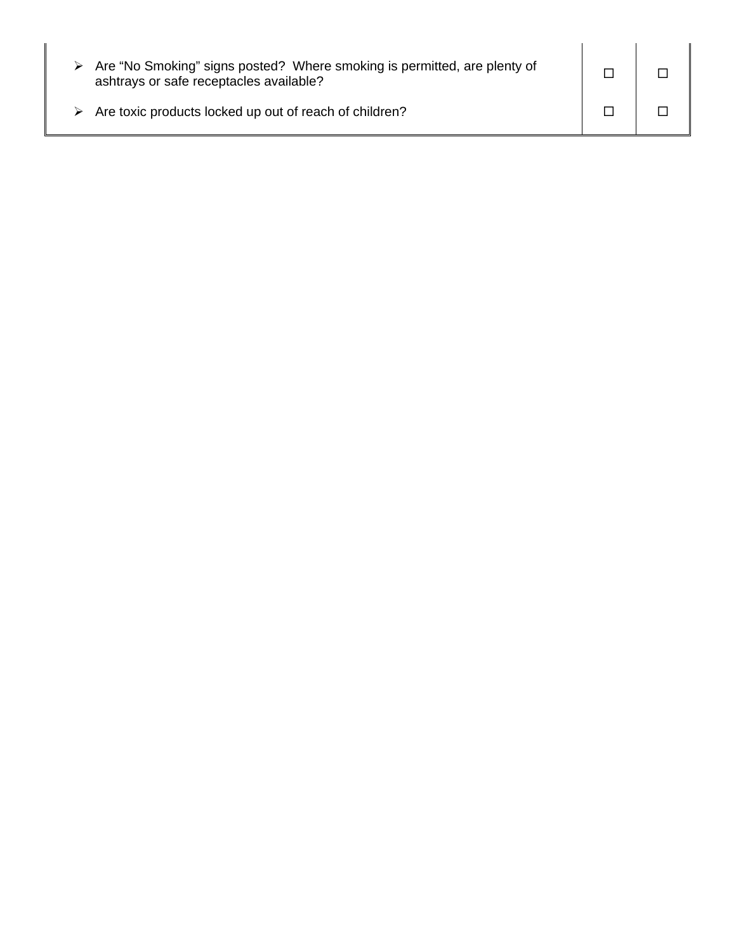| Are "No Smoking" signs posted? Where smoking is permitted, are plenty of<br>ashtrays or safe receptacles available? |  |
|---------------------------------------------------------------------------------------------------------------------|--|
| Are toxic products locked up out of reach of children?                                                              |  |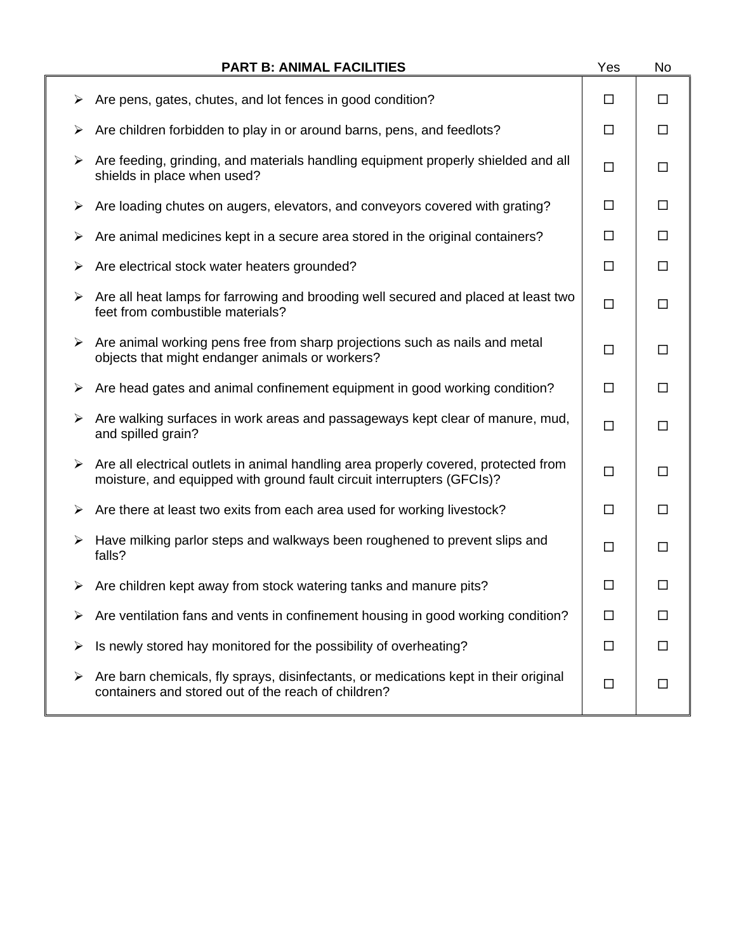|   | <b>PART B: ANIMAL FACILITIES</b>                                                                                                                                               | Yes    | No     |
|---|--------------------------------------------------------------------------------------------------------------------------------------------------------------------------------|--------|--------|
| ➤ | Are pens, gates, chutes, and lot fences in good condition?                                                                                                                     | $\Box$ | $\Box$ |
|   | Are children forbidden to play in or around barns, pens, and feedlots?                                                                                                         | $\Box$ | $\Box$ |
| ➤ | Are feeding, grinding, and materials handling equipment properly shielded and all<br>shields in place when used?                                                               | $\Box$ | □      |
| ➤ | Are loading chutes on augers, elevators, and conveyors covered with grating?                                                                                                   | $\Box$ | $\Box$ |
| ➤ | Are animal medicines kept in a secure area stored in the original containers?                                                                                                  | $\Box$ | $\Box$ |
| ➤ | Are electrical stock water heaters grounded?                                                                                                                                   | $\Box$ | $\Box$ |
| ➤ | Are all heat lamps for farrowing and brooding well secured and placed at least two<br>feet from combustible materials?                                                         | $\Box$ | П      |
| ➤ | Are animal working pens free from sharp projections such as nails and metal<br>objects that might endanger animals or workers?                                                 | $\Box$ | $\Box$ |
| ➤ | Are head gates and animal confinement equipment in good working condition?                                                                                                     | $\Box$ | □      |
| ➤ | Are walking surfaces in work areas and passageways kept clear of manure, mud,<br>and spilled grain?                                                                            | $\Box$ | □      |
|   | $\triangleright$ Are all electrical outlets in animal handling area properly covered, protected from<br>moisture, and equipped with ground fault circuit interrupters (GFCIs)? | $\Box$ | $\Box$ |
| ➤ | Are there at least two exits from each area used for working livestock?                                                                                                        | □      | $\Box$ |
|   | Have milking parlor steps and walkways been roughened to prevent slips and<br>falls?                                                                                           | $\Box$ | $\Box$ |
|   | $\triangleright$ Are children kept away from stock watering tanks and manure pits?                                                                                             | □      | ப      |
|   | Are ventilation fans and vents in confinement housing in good working condition?                                                                                               | □      | П      |
| ➤ | Is newly stored hay monitored for the possibility of overheating?                                                                                                              | □      | П      |
| ➤ | Are barn chemicals, fly sprays, disinfectants, or medications kept in their original<br>containers and stored out of the reach of children?                                    | $\Box$ | П      |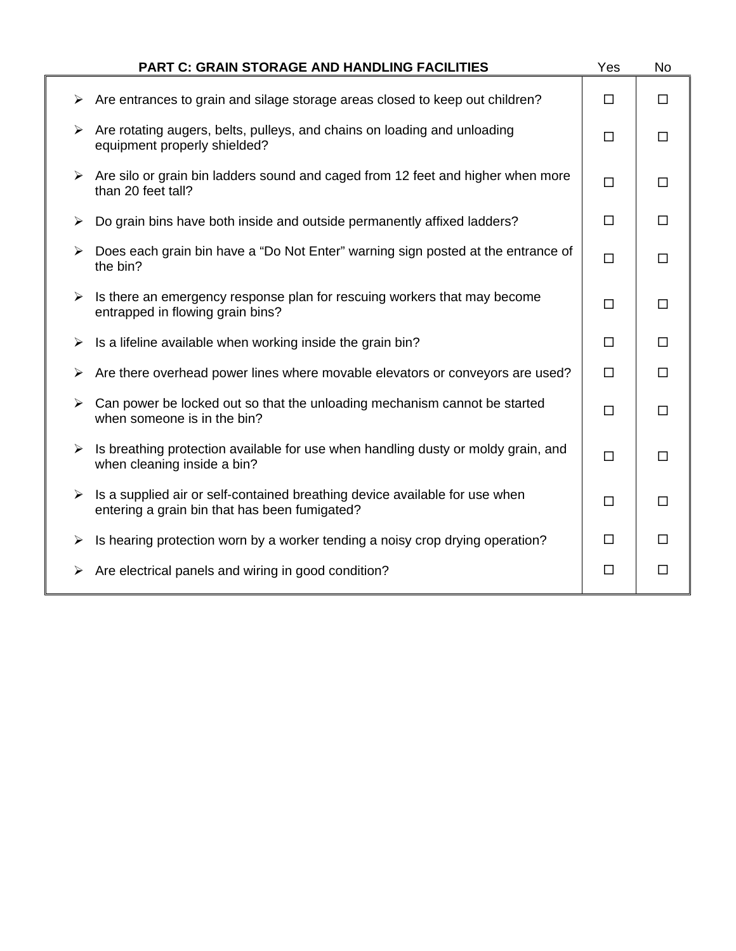|   | <b>PART C: GRAIN STORAGE AND HANDLING FACILITIES</b>                                                                         | Yes    | No     |
|---|------------------------------------------------------------------------------------------------------------------------------|--------|--------|
| ➤ | Are entrances to grain and silage storage areas closed to keep out children?                                                 | $\Box$ | $\Box$ |
| ➤ | Are rotating augers, belts, pulleys, and chains on loading and unloading<br>equipment properly shielded?                     | $\Box$ | $\Box$ |
|   | $\triangleright$ Are silo or grain bin ladders sound and caged from 12 feet and higher when more<br>than 20 feet tall?       | $\Box$ | $\Box$ |
| ➤ | Do grain bins have both inside and outside permanently affixed ladders?                                                      | □      | $\Box$ |
| ➤ | Does each grain bin have a "Do Not Enter" warning sign posted at the entrance of<br>the bin?                                 | $\Box$ | $\Box$ |
| ➤ | Is there an emergency response plan for rescuing workers that may become<br>entrapped in flowing grain bins?                 | □      | $\Box$ |
| ➤ | Is a lifeline available when working inside the grain bin?                                                                   | □      | $\Box$ |
| ➤ | Are there overhead power lines where movable elevators or conveyors are used?                                                | $\Box$ | $\Box$ |
| ➤ | Can power be locked out so that the unloading mechanism cannot be started<br>when someone is in the bin?                     | $\Box$ | $\Box$ |
| ➤ | Is breathing protection available for use when handling dusty or moldy grain, and<br>when cleaning inside a bin?             | $\Box$ | $\Box$ |
| ➤ | Is a supplied air or self-contained breathing device available for use when<br>entering a grain bin that has been fumigated? | $\Box$ | $\Box$ |
| ➤ | Is hearing protection worn by a worker tending a noisy crop drying operation?                                                | $\Box$ | $\Box$ |
| ➤ | Are electrical panels and wiring in good condition?                                                                          | □      | Ш      |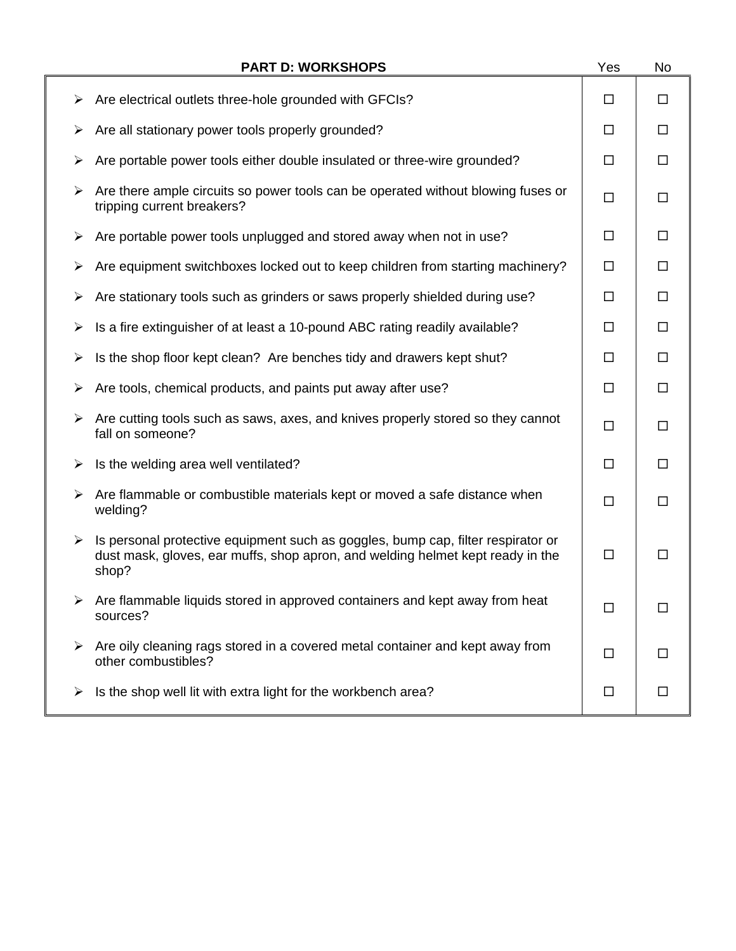|   | <b>PART D: WORKSHOPS</b>                                                                                                                                                    | Yes    | No     |
|---|-----------------------------------------------------------------------------------------------------------------------------------------------------------------------------|--------|--------|
| ➤ | Are electrical outlets three-hole grounded with GFCIs?                                                                                                                      | □      | □      |
| ➤ | Are all stationary power tools properly grounded?                                                                                                                           | □      | $\Box$ |
| ➤ | Are portable power tools either double insulated or three-wire grounded?                                                                                                    | □      | П      |
| ➤ | Are there ample circuits so power tools can be operated without blowing fuses or<br>tripping current breakers?                                                              | □      | $\Box$ |
| ➤ | Are portable power tools unplugged and stored away when not in use?                                                                                                         | □      | □      |
| ➤ | Are equipment switchboxes locked out to keep children from starting machinery?                                                                                              | $\Box$ | $\Box$ |
| ➤ | Are stationary tools such as grinders or saws properly shielded during use?                                                                                                 | □      | □      |
| ➤ | Is a fire extinguisher of at least a 10-pound ABC rating readily available?                                                                                                 | □      | □      |
| ➤ | Is the shop floor kept clean? Are benches tidy and drawers kept shut?                                                                                                       | $\Box$ | $\Box$ |
| ➤ | Are tools, chemical products, and paints put away after use?                                                                                                                | $\Box$ | $\Box$ |
| ➤ | Are cutting tools such as saws, axes, and knives properly stored so they cannot<br>fall on someone?                                                                         | $\Box$ | $\Box$ |
| ➤ | Is the welding area well ventilated?                                                                                                                                        | □      | □      |
| ➤ | Are flammable or combustible materials kept or moved a safe distance when<br>welding?                                                                                       | $\Box$ | □      |
| ➤ | Is personal protective equipment such as goggles, bump cap, filter respirator or<br>dust mask, gloves, ear muffs, shop apron, and welding helmet kept ready in the<br>shop? | $\Box$ | □      |
|   | Are flammable liquids stored in approved containers and kept away from heat<br>sources?                                                                                     | □      | □      |
| ➤ | Are oily cleaning rags stored in a covered metal container and kept away from<br>other combustibles?                                                                        | ш      | ΙI     |
|   | Is the shop well lit with extra light for the workbench area?                                                                                                               | □      | □      |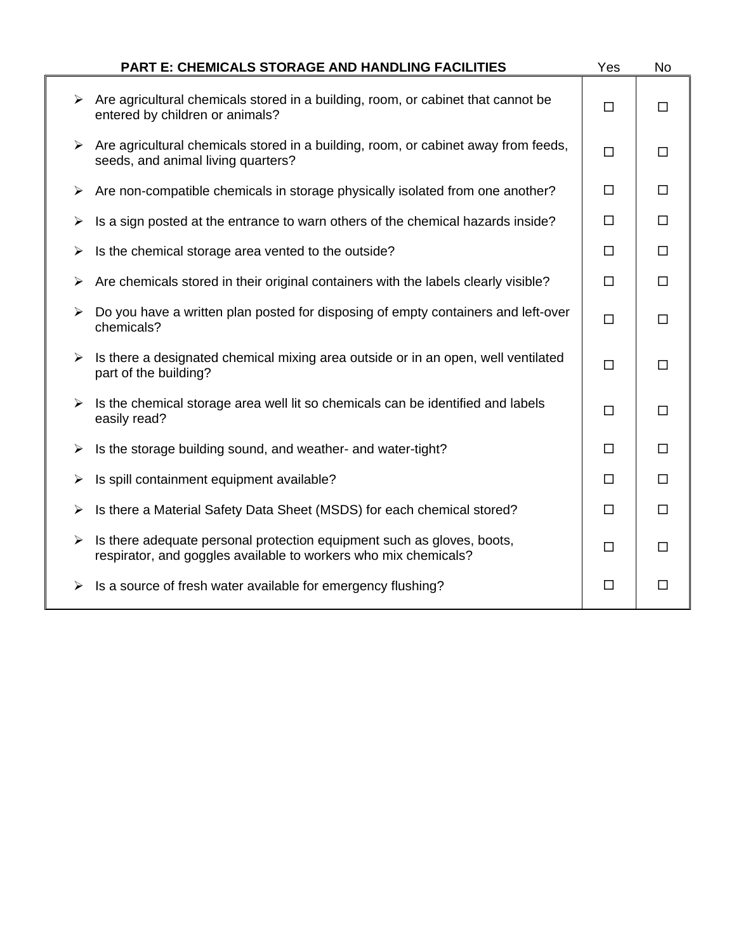|                       | <b>PART E: CHEMICALS STORAGE AND HANDLING FACILITIES</b>                                                                                  | Yes    | <b>No</b> |
|-----------------------|-------------------------------------------------------------------------------------------------------------------------------------------|--------|-----------|
| ➤                     | Are agricultural chemicals stored in a building, room, or cabinet that cannot be<br>entered by children or animals?                       | $\Box$ | □         |
| ➤                     | Are agricultural chemicals stored in a building, room, or cabinet away from feeds,<br>seeds, and animal living quarters?                  | $\Box$ | $\Box$    |
| ➤                     | Are non-compatible chemicals in storage physically isolated from one another?                                                             | $\Box$ | $\Box$    |
| ➤                     | Is a sign posted at the entrance to warn others of the chemical hazards inside?                                                           | $\Box$ | $\Box$    |
| ➤                     | Is the chemical storage area vented to the outside?                                                                                       | $\Box$ | $\Box$    |
| ➤                     | Are chemicals stored in their original containers with the labels clearly visible?                                                        | $\Box$ | $\Box$    |
| $\blacktriangleright$ | Do you have a written plan posted for disposing of empty containers and left-over<br>chemicals?                                           | $\Box$ | □         |
| ➤                     | Is there a designated chemical mixing area outside or in an open, well ventilated<br>part of the building?                                | $\Box$ | $\Box$    |
| ➤                     | Is the chemical storage area well lit so chemicals can be identified and labels<br>easily read?                                           | $\Box$ | $\Box$    |
| ➤                     | Is the storage building sound, and weather- and water-tight?                                                                              | $\Box$ | $\Box$    |
| ➤                     | Is spill containment equipment available?                                                                                                 | $\Box$ | п         |
| $\blacktriangleright$ | Is there a Material Safety Data Sheet (MSDS) for each chemical stored?                                                                    | $\Box$ | $\Box$    |
| ➤                     | Is there adequate personal protection equipment such as gloves, boots,<br>respirator, and goggles available to workers who mix chemicals? | $\Box$ | $\Box$    |
| ➤                     | Is a source of fresh water available for emergency flushing?                                                                              | $\Box$ | $\Box$    |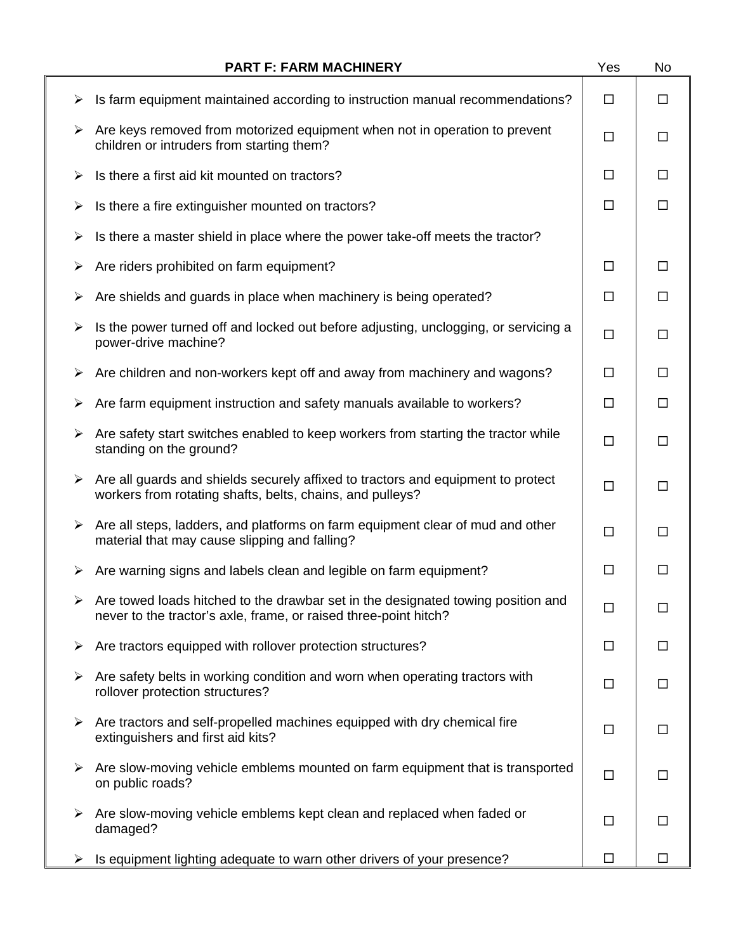|   | <b>PART F: FARM MACHINERY</b>                                                                                                                        | Yes    | No     |
|---|------------------------------------------------------------------------------------------------------------------------------------------------------|--------|--------|
| ➤ | Is farm equipment maintained according to instruction manual recommendations?                                                                        | □      | □      |
| ➤ | Are keys removed from motorized equipment when not in operation to prevent<br>children or intruders from starting them?                              | $\Box$ | □      |
| ➤ | Is there a first aid kit mounted on tractors?                                                                                                        | □      | П      |
| ➤ | Is there a fire extinguisher mounted on tractors?                                                                                                    | □      | П      |
| ➤ | Is there a master shield in place where the power take-off meets the tractor?                                                                        |        |        |
| ➤ | Are riders prohibited on farm equipment?                                                                                                             | $\Box$ | □      |
| ➤ | Are shields and guards in place when machinery is being operated?                                                                                    | $\Box$ | $\Box$ |
| ➤ | Is the power turned off and locked out before adjusting, unclogging, or servicing a<br>power-drive machine?                                          | $\Box$ | □      |
| ➤ | Are children and non-workers kept off and away from machinery and wagons?                                                                            | $\Box$ | □      |
| ➤ | Are farm equipment instruction and safety manuals available to workers?                                                                              | $\Box$ | $\Box$ |
| ➤ | Are safety start switches enabled to keep workers from starting the tractor while<br>standing on the ground?                                         | $\Box$ | $\Box$ |
| ➤ | Are all guards and shields securely affixed to tractors and equipment to protect<br>workers from rotating shafts, belts, chains, and pulleys?        | $\Box$ | □      |
| ➤ | Are all steps, ladders, and platforms on farm equipment clear of mud and other<br>material that may cause slipping and falling?                      | $\Box$ | □      |
| ➤ | Are warning signs and labels clean and legible on farm equipment?                                                                                    | $\Box$ | $\Box$ |
|   | Are towed loads hitched to the drawbar set in the designated towing position and<br>never to the tractor's axle, frame, or raised three-point hitch? | □      | □      |
| ➤ | Are tractors equipped with rollover protection structures?                                                                                           | □      | □      |
| ➤ | Are safety belts in working condition and worn when operating tractors with<br>rollover protection structures?                                       | $\Box$ | □      |
| ➤ | Are tractors and self-propelled machines equipped with dry chemical fire<br>extinguishers and first aid kits?                                        | $\Box$ | $\Box$ |
| ➤ | Are slow-moving vehicle emblems mounted on farm equipment that is transported<br>on public roads?                                                    | $\Box$ | □      |
| ➤ | Are slow-moving vehicle emblems kept clean and replaced when faded or<br>damaged?                                                                    | □      | □      |
|   | Is equipment lighting adequate to warn other drivers of your presence?                                                                               | П      |        |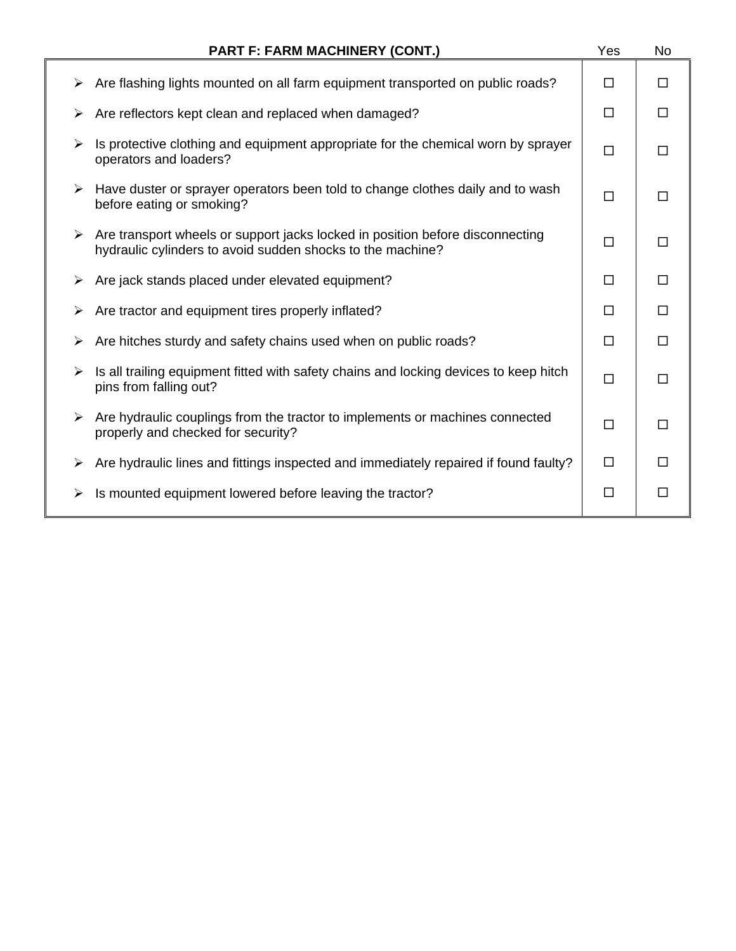|   | <b>PART F: FARM MACHINERY (CONT.)</b>                                                                                                       | Yes    | No     |
|---|---------------------------------------------------------------------------------------------------------------------------------------------|--------|--------|
| ➤ | Are flashing lights mounted on all farm equipment transported on public roads?                                                              | □      | П      |
| ➤ | Are reflectors kept clean and replaced when damaged?                                                                                        | □      | □      |
| ≻ | Is protective clothing and equipment appropriate for the chemical worn by sprayer<br>operators and loaders?                                 | □      | П      |
| ➤ | Have duster or sprayer operators been told to change clothes daily and to wash<br>before eating or smoking?                                 | $\Box$ | $\Box$ |
| ≻ | Are transport wheels or support jacks locked in position before disconnecting<br>hydraulic cylinders to avoid sudden shocks to the machine? | П      | П      |
| ➤ | Are jack stands placed under elevated equipment?                                                                                            | □      | П      |
| ➤ | Are tractor and equipment tires properly inflated?                                                                                          | □      | □      |
| ➤ | Are hitches sturdy and safety chains used when on public roads?                                                                             | П      | П      |
| ➤ | Is all trailing equipment fitted with safety chains and locking devices to keep hitch<br>pins from falling out?                             | $\Box$ | П      |
| ➤ | Are hydraulic couplings from the tractor to implements or machines connected<br>properly and checked for security?                          | П      | П      |
| ➤ | Are hydraulic lines and fittings inspected and immediately repaired if found faulty?                                                        | $\Box$ |        |
| ≻ | Is mounted equipment lowered before leaving the tractor?                                                                                    | □      | $\Box$ |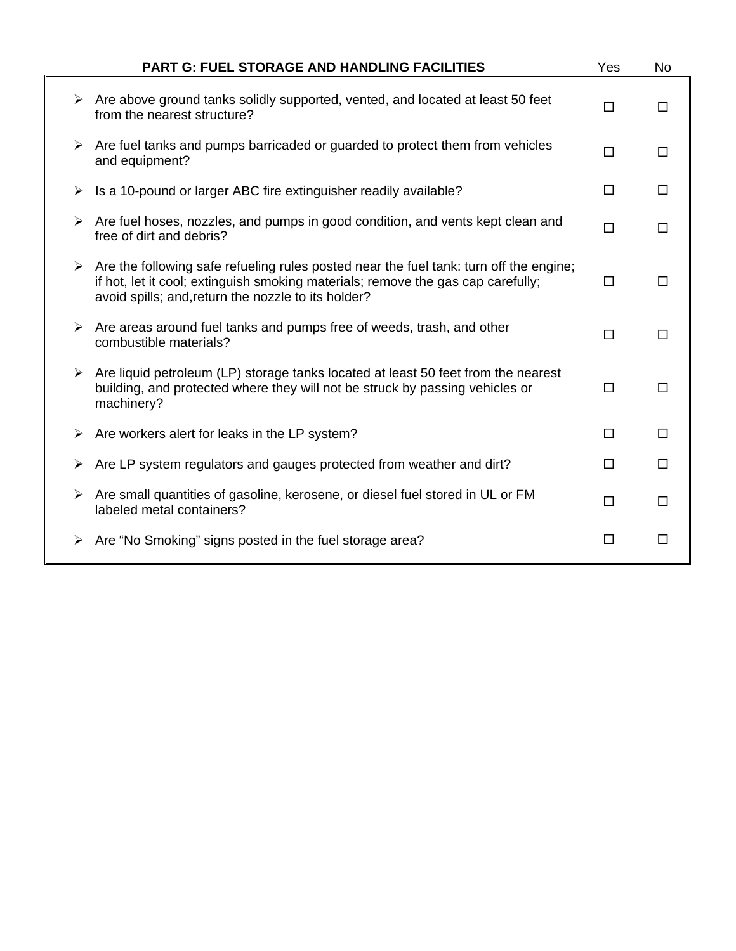|                       | <b>PART G: FUEL STORAGE AND HANDLING FACILITIES</b>                                                                                                                                                                                                | Yes    | <b>No</b> |
|-----------------------|----------------------------------------------------------------------------------------------------------------------------------------------------------------------------------------------------------------------------------------------------|--------|-----------|
|                       | $\triangleright$ Are above ground tanks solidly supported, vented, and located at least 50 feet<br>from the nearest structure?                                                                                                                     | $\Box$ | $\Box$    |
|                       | $\triangleright$ Are fuel tanks and pumps barricaded or guarded to protect them from vehicles<br>and equipment?                                                                                                                                    | □      | $\Box$    |
| ➤                     | Is a 10-pound or larger ABC fire extinguisher readily available?                                                                                                                                                                                   | $\Box$ | $\Box$    |
|                       | $\triangleright$ Are fuel hoses, nozzles, and pumps in good condition, and vents kept clean and<br>free of dirt and debris?                                                                                                                        | $\Box$ | $\Box$    |
|                       | $\triangleright$ Are the following safe refueling rules posted near the fuel tank: turn off the engine;<br>if hot, let it cool; extinguish smoking materials; remove the gas cap carefully;<br>avoid spills; and, return the nozzle to its holder? | $\Box$ | $\Box$    |
|                       | $\triangleright$ Are areas around fuel tanks and pumps free of weeds, trash, and other<br>combustible materials?                                                                                                                                   | $\Box$ | $\Box$    |
|                       | $\triangleright$ Are liquid petroleum (LP) storage tanks located at least 50 feet from the nearest<br>building, and protected where they will not be struck by passing vehicles or<br>machinery?                                                   | П      | $\Box$    |
| ➤                     | Are workers alert for leaks in the LP system?                                                                                                                                                                                                      | □      | □         |
| ➤                     | Are LP system regulators and gauges protected from weather and dirt?                                                                                                                                                                               | $\Box$ | $\Box$    |
| $\blacktriangleright$ | Are small quantities of gasoline, kerosene, or diesel fuel stored in UL or FM<br>labeled metal containers?                                                                                                                                         | $\Box$ | $\Box$    |
|                       | $\triangleright$ Are "No Smoking" signs posted in the fuel storage area?                                                                                                                                                                           | □      | □         |